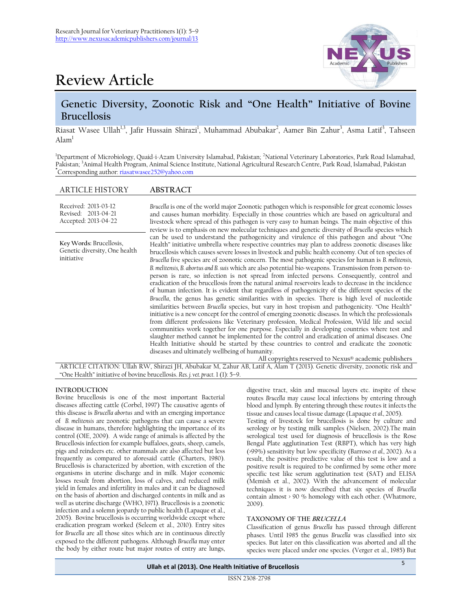



# **Genetic Diversity, Zoonotic Risk and "One Health" Initiative of Bovine Brucellosis**

Riasat Wasee Ullah<sup>1,3</sup>, Jafir Hussain Shirazi<sup>1</sup>, Muhammad Abubakar<sup>2</sup>, Aamer Bin Zahur<sup>3</sup>, Asma Latif<sup>3</sup>, Tahseen  $\text{Alam}^1$ 

<sup>1</sup>Department of Microbiology, Quaid-i-Azam University Islamabad, Pakistan; <sup>2</sup>National Veterinary Laboratories, Park Road Islamabad, Pakistan; <sup>3</sup>Animal Health Program, Animal Science Institute, National Agricultural Research Centre, Park Road, Islamabad, Pakistan **\***Corresponding author[: riasatwasee252@yahoo.com](mailto:riasatwasee252@yahoo.com)

### ARTICLE HISTORY **ABSTRACT**

| Received: 2013-03-12<br>Revised: 2013-04-21<br>Accepted: 2013-04-22    | Brucella is one of the world major Zoonotic pathogen which is responsible for great economic losses<br>and causes human morbidity. Especially in those countries which are based on agricultural and<br>livestock where spread of this pathogen is very easy to human beings. The main objective of this<br>review is to emphasis on new molecular techniques and genetic diversity of Brucella species which                                                                                                                                                                                                                                                                                                                                                                                                                                                                                                                                                                                                                                                                                                                                                                                                                                                                                                                                                                                                                                                                                                                                                                                                                                                                        |
|------------------------------------------------------------------------|--------------------------------------------------------------------------------------------------------------------------------------------------------------------------------------------------------------------------------------------------------------------------------------------------------------------------------------------------------------------------------------------------------------------------------------------------------------------------------------------------------------------------------------------------------------------------------------------------------------------------------------------------------------------------------------------------------------------------------------------------------------------------------------------------------------------------------------------------------------------------------------------------------------------------------------------------------------------------------------------------------------------------------------------------------------------------------------------------------------------------------------------------------------------------------------------------------------------------------------------------------------------------------------------------------------------------------------------------------------------------------------------------------------------------------------------------------------------------------------------------------------------------------------------------------------------------------------------------------------------------------------------------------------------------------------|
| Key Words: Brucellosis,<br>Genetic diversity, One health<br>initiative | can be used to understand the pathogenicity and virulence of this pathogen and about "One<br>Health" initiative umbrella where respective countries may plan to address zoonotic diseases like<br>brucellosis which causes severe losses in livestock and public health economy. Out of ten species of<br>Brucella five species are of zoonotic concern. The most pathogenic species for human is B. melitensis,<br>B. melitensis, B. abortus and B. suis which are also potential bio-weapons. Transmission from person-to-<br>person is rare, so infection is not spread from infected persons. Consequently, control and<br>eradication of the brucellosis from the natural animal reservoirs leads to decrease in the incidence<br>of human infection. It is evident that regardless of pathogenicity of the different species of the<br>Brucella, the genus has genetic similarities with in species. There is high level of nucleotide<br>similarities between Brucella species, but vary in host tropism and pathogenicity. "One Health"<br>initiative is a new concept for the control of emerging zoonotic diseases. In which the professionals<br>from different professions like Veterinary profession, Medical Profession, Wild life and social<br>communities work together for one purpose. Especially in developing countries where test and<br>slaughter method cannot be implemented for the control and eradication of animal diseases. One<br>Health Initiative should be started by these countries to control and eradicate the zoonotic<br>diseases and ultimately wellbeing of humanity.<br>All copyrights reserved to Nexus <sup>®</sup> academic publishers |

ARTICLE CITATION: Ullah RW, Shirazi JH, Abubakar M, Zahur AB, Latif A, Alam T (2013). Genetic diversity, zoonotic risk and "One Health" initiative of bovine brucellosis. *Res. j. vet. pract.* 1 (1): 5–9.

## **INTRODUCTION**

Bovine brucellosis is one of the most important Bacterial diseases affecting cattle (Corbel, 1997) The causative agents of this disease is *Brucella abortus* and with an emerging importance of *B. melitensis* are zoonotic pathogens that can cause a severe disease in humans, therefore highlighting the importance of its control (OIE, 2009). A wide range of animals is affected by the Brucellosis infection for example buffaloes, goats, sheep, camels, pigs and reindeers etc. other mammals are also affected but less frequently as compared to aforesaid cattle (Charters, 1980). Brucellosis is characterized by abortion, with excretion of the organisms in uterine discharge and in milk. Major economic losses result from abortion, loss of calves, and reduced milk yield in females and infertility in males and it can be diagnosed on the basis of abortion and discharged contents in milk and as well as uterine discharge (WHO, 1971). Brucellosis is a zoonotic infection and a solemn jeopardy to public health (Lapaque et al., 2005). Bovine brucellosis is occurring worldwide except where eradication program worked (Seleem et al., 2010). Entry sites for *Brucella* are all those sites which are in continuous directly exposed to the different pathogens. Although *Brucella* may enter the body by either route but major routes of entry are lungs,

digestive tract, skin and mucosal layers etc. inspite of these routes *Brucella* may cause local infections by entering through blood and lymph. By entering through these routes it infects the tissue and causes local tissue damage (Lapaque *et al.,* 2005).

Testing of livestock for brucellosis is done by culture and serology or by testing milk samples (Nielsen, 2002).The main serological test used for diagnosis of brucellosis is the Rose Bengal Plate agglutination Test (RBPT), which has very high (>99%) sensitivity but low specificity (Barroso *et al.,* 2002). As a result, the positive predictive value of this test is low and a positive result is required to be confirmed by some other more specific test like serum agglutination test (SAT) and ELISA (Memish et al., 2002). With the advancement of molecular techniques it is now described that six species of *Brucella* contain almost > 90 % homology with each other. (Whatmore, 2009).

### **TAXONOMY OF THE BRUCELLA**

Classification of genus *Brucella* has passed through different phases. Until 1985 the genus *Brucella* was classified into six species. But later on this classification was aborted and all the species were placed under one species. (Verger et al., 1985) But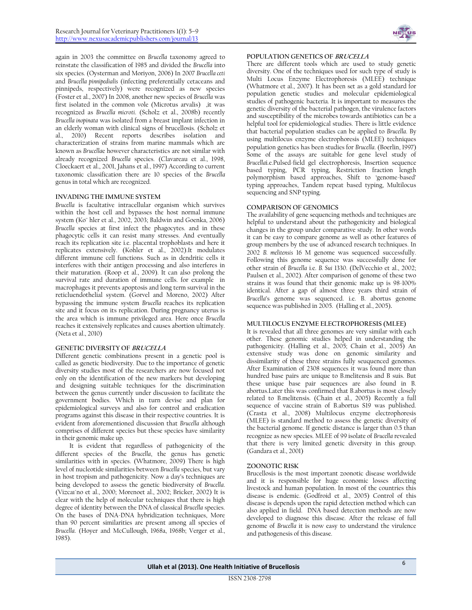again in 2003 the committee on *Brucella* taxonomy agreed to reinstate the classification of 1985 and divided the *Brucella* into six species. (Oysterman and Moriyon, 2006) In 2007 *Brucella ceti* and *Brucella pinnipedialis* (infecting preferentially cetaceans and pinnipeds, respectively) were recognized as new species (Foster et al., 2007) In 2008, another new species of *Brucella* was first isolated in the common vole (Microtus arvalis) ,it was recognized as *Brucella microti*. (Scholz et al., 2008b) recently *Brucella inopinata* was isolated from a breast implant infection in an elderly woman with clinical signs of brucellosis. (Scholz et al., 2010) Recent reports describes isolation and characterization of strains from marine mammals which are known as *Brucella*e however characteristics are not similar with already recognized *Brucella* species. (Clavareau et al., 1998, Cloeckaert et al., 2001, Jahans et al., 1997) According to current taxonomic classification there are 10 species of the *Brucella* genus in total which are recognized.

### **INVADING THE IMMUNE SYSTEM**

*Brucella* is facultative intracellular organism which survives within the host cell and bypasses the host normal immune system (Ko¨ hler et al., 2002, 2003; Baldwin and Goenka, 2006) *Brucella* species at first infect the phagocytes. and in these phagocytic cells it can resist many stresses. And eventually reach its replication site i.e. placental trophoblasts and here it replicates extensively. (Kohler et al., 2002).It modulates different immune cell functions. Such as in dendritic cells it interferes with their antigen processing and also interferes in their maturation. (Roop et al., 2009). It can also prolong the survival rate and duration of immune cells. for example in macrophages it prevents apoptosis and long term survival in the reticluendothelial system. (Gorvel and Moreno, 2002) After bypassing the immune system *Brucella* reaches its replication site and it focus on its replication. During pregnancy uterus is the area which is immune privileged area. Here once *Brucella* reaches it extensively replicates and causes abortion ultimately. (Neta et al., 2010)

### **GENETIC DIVERSITY OF BRUCELLA**

Different genetic combinations present in a genetic pool is called as genetic biodiversity. Due to the importance of genetic diversity studies most of the researchers are now focused not only on the identification of the new markers but developing and designing suitable techniques for the discrimination between the genus currently under discussion to facilitate the government bodies. Which in turn devise and plan for epidemiological surveys and also for control and eradication programs against this disease in their respective countries. It is evident from aforementioned discussion that *Brucella* although comprises of different species but these species have similarity in their genomic make up.

It is evident that regardless of pathogenicity of the different species of the *Brucella*, the genus has genetic similarities with in species. (Whatmore, 2009) There is high level of nucleotide similarities between *Brucella* species, but vary in host tropism and pathogenicity. Now a day's techniques are being developed to assess the genetic biodiversity of *Brucella*. (Vizcaı´no et al., 2000; Morenoet al., 2002; Bricker, 2002) It is clear with the help of molecular techniques that there is high degree of identity between the DNA of classical *Brucella* species. On the bases of DNA-DNA hybridization techniques, More than 90 percent similarities are present among all species of *Brucella*. (Hoyer and McCullough, 1968a, 1968b; Verger et al., 1985).



### **POPULATION GENETICS OF BRUCELLA**

There are different tools which are used to study genetic diversity. One of the techniques used for such type of study is Multi Locus Enzyme Electrophoresis (MLEE) technique (Whatmore et al., 2007). It has been set as a gold standard for population genetic studies and molecular epidemiological studies of pathogenic bacteria. It is important to measures the genetic diversity of the bacterial pathogen, the virulence factors and susceptibility of the microbes towards antibiotics can be a helpful tool for epidemiological studies. There is little evidence that bacterial population studies can be applied to *Brucella*. By using multilocus enzyme electrophoresis (MLEE) techniques population genetics has been studies for *Brucella*. (Boerlin, 1997) Some of the assays are suitable for gene level study of *Brucella*i.e.Pulsed-field gel electrophoresis, Insertion sequence based typing, PCR typing, Restriction fraction length polymorphism based approaches, Shift to 'genome-based' typing approaches, Tandem repeat based typing, Multilocus sequencing and SNP typing.

### **COMPARISON OF GENOMICS**

The availability of gene sequencing methods and techniques are helpful to understand about the pathogenicity and biological changes in the group under comparative study. In other words it can be easy to compare genome as well as other features of group members by the use of advanced research techniques. In 2002 *B. melitensis* 16 M genome was sequenced successfully. Following this genome sequence was successfully done for other strain of *Brucella* i.e. *B. Sui* 1330. (DelVecchio et al., 2002; Paulsen et al., 2002). After comparison of genome of these two strains it was found that their genomic make up is 98-100% identical. After a gap of almost three years third strain of *Brucella*'s genome was sequenced. i.e. B. abortus genome sequence was published in 2005. (Halling et al., 2005)**.**

### **MULTILOCUS ENZYME ELECTROPHORESIS (MLEE)**

It is revealed that all three genomes are very similar with each other. These genomic studies helped in understanding the pathogenicity. (Halling et al., 2005; Chain et al., 2005) An extensive study was done on genomic similarity and dissimilarity of these three strains fully seuquenced genomes. After Examination of 2308 sequences it was found more than hundred base pairs are unique to B.melitensis and B suis. But these unique base pair sequences are also found in B. abortus.Later this was confirmed that B.abortus is most closely related to B.melitensis. (Chain et al., 2005) Recently a full sequence of vaccine strain of B.abortus S19 was published. (Crasta et al., 2008) Multilocus enzyme electrophoresis (MLEE) is standard method to assess the genetic diversity of the bacterial genome. If genetic distance is larger than 0.5 than recognize as new species. MLEE of 99 isolate of *Brucella* revealed that there is very limited genetic diversity in this group. (Gandara et al., 2001)

# **ZOONOTIC RISK**

Brucellosis is the most important zoonotic disease worldwide and it is responsible for huge economic losses affecting livestock and human population. In most of the countries this disease is endemic. (Godfroid et al., 2005) Control of this disease is depends upon the rapid detection method which can also applied in field. DNA based detection methods are now developed to diagnose this disease. After the release of full genome of *Brucella* it is now easy to understand the virulence and pathogenesis of this disease.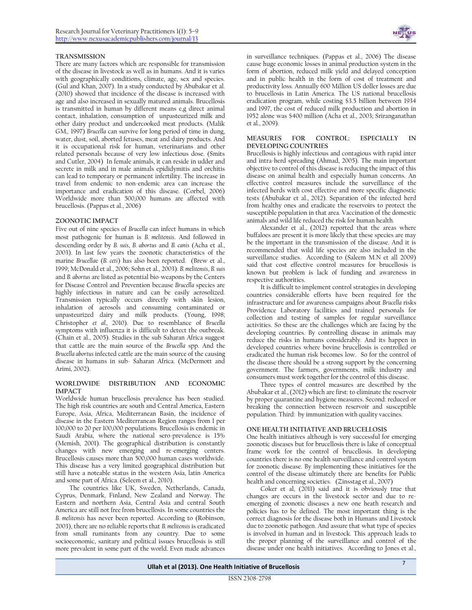### **TRANSMISSION**

There are many factors which are responsible for transmission of the disease in livestock as well as in humans. And it is varies with geographically conditions, climate, age, sex and species. (Gul and Khan, 2007). In a study conducted by Abubakar et al. (2010) showed that incidence of the disease is increased with age and also increased in sexually matured animals. Brucellosis is transmitted in human by different means e,g direct animal contact, inhalation, consumption of unpasteurized milk and other dairy product and undercooked meat products. (Malik GM,. 1997) *Brucella* can survive for long period of time in dung, water, dust, soil, aborted fetuses, meat and dairy products. And it is occupational risk for human, veterinarians and other related personals because of very low infectious dose. (Smits and Cutler, 2004) In female animals, it can reside in udder and secrete in milk and in male animals epididymitis and orchitis can lead to temporary or permanent infertility. The increase in travel from endemic to non-endemic area can increase the importance and eradication of this disease. (Corbel, 2006) Worldwide more than 500,000 humans are affected with brucellosis. (Pappas et al., 2006)

### **ZOONOTIC IMPACT**

Five out of nine species of *Brucella* can infect humans in which most pathogenic for human is *B. melitensis*. And followed in descending order by *B. suis*, *B. abortus* and *B. canis* (Acha et al., 2003). In last few years the zoonotic characteristics of the marine *Brucella*e (*B. ceti*) has also been reported. (Brew et al., 1999; McDonald et al., 2006; Sohn et al., 2003). *B. melitensis*, *B. suis* and *B. abortus* are listed as potential bio-weapons by the Centers for Disease Control and Prevention because *Brucella* species are highly infectious in nature and can be easily aerosolized. Transmission typically occurs directly with skin lesion, inhalation of aerosols and consuming contaminated or unpasteurized dairy and milk products. (Young, 1998; Christopher *et al.,* 2010). Due to resemblance of *Brucella* symptoms with influenza it is difficult to detect the outbreak. (Chain et al., 2005). Studies in the sub Saharan Africa suggest that cattle are the main source of the *Brucella* spp. And the *Brucella abortus* infected cattle are the main source of the causing disease in humans in sub- Saharan Africa. (McDermott and Arimi, 2002).

#### **WORLDWIDE DISTRIBUTION AND ECONOMIC IMPACT**

Worldwide human brucellosis prevalence has been studied. The high risk countries are south and Central America, Eastern Europe, Asia, Africa, Mediterranean Basin, the incidence of disease in the Eastern Mediterranean Region ranges from 1 per 100,000 to 20 per 100,000 populations. Brucellosis is endemic in Saudi Arabia, where the national sero-prevalence is 15% (Memish, 2001). The geographical distribution is constantly changes with new emerging and re-emerging centers. Brucellosis causes more than 500,000 human cases worldwide. This disease has a very limited geographical distribution but still have a noteable status in the western Asia, latin America and some part of Africa. (Seleem et al., 2010).

The countries like UK, Sweden, Netherlands, Canada, Cyprus, Denmark, Finland, New Zealand and Norway. The Eastern and northern Asia, Central Asia and central South America are still not free from brucellosis. In some countries the *B. melitensis* has never been reported. According to (Robinson, 2003), there are no reliable reports that *B. melitensis* is eradicated from small ruminants from any country. Due to some socioeconomic, sanitary and political issues brucellosis is still more prevalent in some part of the world. Even made advances



in surveillance techniques. (Pappas et al., 2006) The disease cause huge economic losses in animal production system in the form of abortion, reduced milk yield and delayed conception and in public health in the form of cost of treatment and productivity loss. Annually 600 Million US doller losses are due to brucellosis in Latin America. The US national brucellosis eradication program, while costing \$3.5 billion between 1934 and 1997, the cost of reduced milk production and abortion in 1952 alone was \$400 million (Acha et al., 2003; Sriranganathan et al., 2009).

#### **MEASURES FOR CONTROL: ESPECIALLY IN DEVELOPING COUNTRIES**

Brucellosis is highly infectious and contagious with rapid inter and intra-herd spreading (Ahmad, 2005). The main important objective to control of this disease is reducing the impact of this disease on animal health and especially human concerns. An effective control measures include the surveillance of the infected herds with cost effective and more specific diagnostic tests (Abubakar et al., 2012). Separation of the infected herd from healthy ones and eradicate the reservoirs to protect the susceptible population in that area. Vaccination of the domestic animals and wild life reduced the risk for human health.

Alexander et al., (2012) reported that the areas where buffaloes are present it is more likely that these species are may be the important in the transmission of the disease. And it is recommended that wild life species are also included in the surveillance studies. According to (Saleem M.N et all 2009) said that cost effective control measures for brucellosis is known but problem is lack of funding and awareness in respective authorities.

It is difficult to implement control strategies in developing countries considerable efforts have been required for the infrastructure and for awareness campaigns about *Brucella* risks Providence Laboratory facilities and trained personals for collection and testing of samples for regular surveillance activities. So these are the challenges which are facing by the developing countries. By controlling disease in animals may reduce the risks in humans considerably. And its happen in developed countries where bovine brucellosis is controlled or eradicated the human risk becomes low. So for the control of the disease there should be a strong support by the concerning government. The farmers, governments, milk industry and consumers must work together for the control of this disease.

Three types of control measures are described by the Abubakar et al.,(2012) which are first: to eliminate the reservoir by proper quarantine and hygiene measures. Second: reduced or breaking the connection between reservoir and susceptible population. Third: by immunization with quality vaccines.

### **ONE HEALTH INITIATIVE AND BRUCELLOSIS**

One health initiatives although is very successful for emerging zoonotic diseases but for brucellosis there is lake of conceptual frame work for the control of brucellosis. In developing countries there is no one health surveillance and control system for zoonotic disease. By implementing these initiatives for the control of the disease ultimately there are benefits for Public health and concerning societies. (Zinsstag et al., 2007)

Coker et al, (2011) said and it is obviously true that changes are occurs in the livestock sector and due to reemerging of zoonotic diseases a new one heath research and policies has to be defined. The most important thing is the correct diagnosis for the disease both in Humans and Livestock due to zoonotic pathogen. And assure that what type of species is involved in human and in livestock. This approach leads to the proper planning of the surveillance and control of the disease under one health initiatives. According to Jones et al.,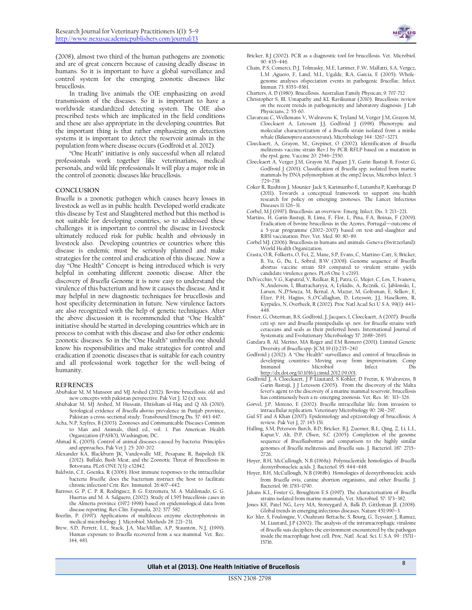

(2008), almost two third of the human pathogens are zoonotic and are of great concern because of causing deadly disease in humans. So it is important to have a global surveillance and control system for the emerging zoonotic diseases like brucellosis.

In trading live animals the OIE emphasizing on avoid transmission of the diseases. So it is important to have a worldwide standardized detecting system. The OIE also prescribed tests which are implicated in the field conditions and these are also appropriate in the developing countries. But the important thing is that rather emphasizing on detection systems it is important to detect the reservoir animals in the population from where disease occurs (Godfroid et al. 2012).

"One Heath" initiative is only successful when all related professionals work together like veterinarians, medical personals, and wild life professionals It will play a major role in the control of zoonotic diseases like brucellosis.

#### **CONCLUSION**

*Brucella* is a zoonotic pathogen which causes heavy losses in livestock as well as in public health. Developed world eradicate this disease by Test and Slaughtered method but this method is not suitable for developing countries, so to addressed these challenges it is important to control the disease in Livestock ultimately reduced risk for public health and obviously in livestock also. Developing countries or countries where this disease is endemic must be seriously planned and make strategies for the control and eradication of this disease. Now a day "One Health" Concept is being introduced which is very helpful in combating different zoonotic disease. After the discovery of *Brucella* Genome it is now easy to understand the virulence of this bacterium and how it causes the disease. And it may helpful in new diagnostic techniques for brucellosis and host specificity determination in future. New virulence factors are also recognized with the help of genetic techniques. After the above discussion it is recommended that "One Health" initiative should be started in developing countries which are in process to combat with this disease and also for other endemic zoonotic diseases. So in the "One Health" umbrella one should know his responsibilities and make strategies for control and eradication if zoonotic diseases that is suitable for each country and all professional work together for the well-being of humanity.

#### **REFRENCES**

- Abubakar M, M Mansoor and MJ Arshed (2012). Bovine brucellosis: old and new concepts with pakistan perspective. Pak Vet J. 32 (x): xxx.
- Abubakar M, MJ Arshed, M Hussain, Ehtisham-ul-Haq and Q Ali (2010). Serological evidence of *Brucella abortus* prevalence in Punjab province, Pakistan-a cross-sectional study. Transbound Emerg Dis. 57: 443-447.
- Acha, N.P, Szyfres, B (2003). Zoonoses and Communicable Diseases Common to Man and Animals, third ed., vol. 1. Pan American Health Organization (PAHO), Washington, DC.
- Ahmad K, (2005). Control of animal diseases caused by bacteria: Principles and approaches, Pak Vet J. 25: 200-202.
- Alexander KA, Blackburn JK, Vandewalle ME, Pesapane R, Baipoledi EK (2012). Buffalo, Bush Meat, and the Zoonotic Threat of Brucellosis in Botswana. PLoS ONE 7(3): e32842.
- Baldwin, C.L, Goenka, R (2006). Host immune responses to the intracellular bacteria *Brucella*: does the bacterium instruct the host to facilitate chronic infection? Crit. Rev. Immunol. 26:407–442.
- Barroso, G. P, C. P. R. Rodriguez, B. G. Extremera, M. A. Maldonado, G. G. Huertas and M. A. Salguero, (2002). Study of 1,595 brucellosis cases in the Almeria province (1972-1998) based on epidemiological data from disease reporting. Rev.Clin. Espanola, 202: 577-582.
- Boerlin, P. (1997). Applications of multilocus enzyme electrophoresis in medical microbiology. J. Microbiol. Methods 28: 221–231.
- Brew, S.D, Perrett, L.L, Stack, J.A, MacMillan, A.P, Staunton, N.J, (1999). Human exposure to *Brucella* recovered from a sea mammal. Vet. Rec. 144, 483.
- Bricker, B.J (2002). PCR as a diagnostic tool for brucellosis. Vet. Microbiol. 90: 435–446.
- Chain, P.S, Comerci, D.J, Tolmasky, M.E, Larimer, F.W, Malfatti, S.A, Vergez, L.M ,Aguero, F, Land, M.L, Ugalde, R.A, Garcia, E (2005). Wholegenome analyses ofspeciation events in pathogenic *Brucella*e. Infect. Immun. 73: 8353–8361.
- Charters, A. D (1980). Brucellosis. Australian Family Physican, 9: 707-712
- Christopher S, BL Umapathy and KL Ravikumar (2010). Brucellosis: review on the recent trends in pathogenicity and laboratory diagnosis. J Lab Physicians, 2: 55-60.
- Clavareau C, Wellemans V, Walravens K, Tryland M, Verger J.M, Grayon M, Cloeckaert A, Letesson J.J, Godfroid J (1998). Phenotypic and molecular characterization of a *Brucella* strain isolated from a minke whale (*Balaenoptera acutorostrata*), Microbiology 144 :3267–3273.
- Cloeckaert, A, Grayon, M., Grepinet, O (2002). Identification of *Brucella* melitensis vaccine strain Rev.1 by PCR-RFLP based on a mutation in the rpsL gene. Vaccine 20: 2546–2550.
- Cloeckaert A, Verger J.M, Grayon M, Paquet J.Y, Garin-Bastuji B, Foster G, Godfroid J (2001). Classification of *Brucella* spp. isolated from marine mammals by DNA polymorphism at the omp2 locus, Microbes Infect. 3 :729–738.
- Coker R, Rushton J, Mounier-Jack S, Karimuribo E, Lutumba P, Kambarage D (2011). Towards a conceptual framework to support one-health research for policy on emerging zoonoses. The Lancet Infectious Diseases 11:326–31.
- Corbel, M.J (1997). Brucellosis: an overview. Emerg. Infect. Dis. 3: 213–221.
- Martins, H, Garin-Bastuji, B, Lima, F, Flor, L, Pina, F.A, Boinas, F (2009). Eradication of bovine brucellosis in the Azores, Portugal—outcome of a 5-year programme (2002–2007) based on test-and-slaughter and RB51 vaccination. Prev. Vet. Med. 90: 80–89.
- Corbel MJ. (2006). Brucellosis in humans and animals. Geneva (Switzerland): World Health Organization.
- Crasta, O.R, Folkerts, O, Fei, Z, Mane, S.P, Evans, C, Martino-Catt, S, Bricker, B, Yu, G, Du, L, Sobral, B.W (2008). Genome sequence of *Brucella* abortus vaccine strain S19 compared to virulent strains yields candidate virulence genes. PLoS One 3: e2193.
- DelVecchio, V.G, Kapatral, V, Redkar, R.J, Patra, G, Mujer, C, Los, T, Ivanova, N.,Anderson, I, Bhattacharyya, A, Lykidis, A, Reznik, G, Jablonski, L, Larsen, N.,D'Souza, M, Bernal, A, Mazur, M, Goltsman, E, Selkov, E, Elzer, P.H, Hagius, S.,O'Callaghan, D, Letesson, J.J, Haselkorn, R, Kyrpides, N, Overbeek, R (2002). Proc Natl Acad Sci U S A. 99(1): 443– 448.
- Foster, G, Osterman, B.S, Godfroid, J, Jacques, I, Cloeckaert, A (2007). *Brucella* ceti sp. nov and *Brucella* pinnipedialis sp. nov. for *Brucella* strains with cetaceans and seals as their preferred hosts. International Journal of Systematic and Evolutionary Microbiology 57: 2688–2693.
- Gandara B, AL Merino, MA Roger and EM Romero (2001). Limited Genetic Diversity of *Brucella* spp. JCM.39 (1):235–240
- Godfroid j (2012). A "One Health" surveillance and control of brucellosis in developing countries: Moving away from improvisation. Comp Immunol Microbiol Infect Dis [http://dx.doi.org/10.1016/j.cimid.2012.09.001.](http://dx.doi.org/10.1016/j.cimid.2012.09.001)
- Godfroid J, A Cloeckaert, J P Liautard, S Kohler, D Fretin, K Walravens, B Garin-Bastuji, J J Letesson (2005). From the discovery of the Malta fever's agent to the discovery of a marine mammal reservoir, brucellosis has continuously been a re-emerging zoonosis. Vet. Res. 36: 313–326.
- Gorvel, J.P, Moreno, E (2002). *Brucella* intracellular life: from invasion to intracellular replication. Veterinary Microbiology 90: 281–297.
- Gul ST and A Khan (2007). Epidemiology and epizootology of brucellosis: A review. Pak Vet J, 27: 145-151.
- Halling, S.M, Peterson-Burch, B.D, Bricker, B.J, Zuerner, R.L, Qing, Z, Li, L.L, Kapur,V, Alt, D.P, Olsen, S.C (2005). Completion of the genome sequence of *Brucella*abortus and comparison to the highly similar genomes of *Brucella* melitensis and *Brucella* suis. J. Bacteriol. 187: 2715– 2726.
- Hoyer, B.H, McCullough, N.B (1968a). Polynucleotide homologies of *Brucella* deoxyribonucleic acids. J. Bacteriol. 95: 444–448.
- Hoyer, B.H, McCullough, N.B (1968b). Homologies of deoxyribonucleic acids from *Brucella* ovis, canine abortion organisms, and other *Brucella*. J. Bacteriol. 96: 1783–1790.
- Jahans K.L, Foster G, Broughton E.S (1997). The characterisation of *Brucella* strains isolated from marine mammals, Vet. Microbiol. 57: 373–382.
- Jones KE, Patel NG, Levy MA, Storeygard A, Balk D, Gittleman JL (2008). Global trends in emerging infectious diseases. Nature 451:990–3.
- Ko¨ hler, S, Foulongne, V, Ouahrani-Bettache, S, Bourg, G, Teyssier, J, Ramuz, M, Liautard, J.P (2002). The analysis of the intramacrophagic virulome of *Brucella* suis deciphers the environment encountered by the pathogen inside the macrophage host cell. Proc. Natl. Acad. Sci. U.S.A. 99 : 15711– 15716.